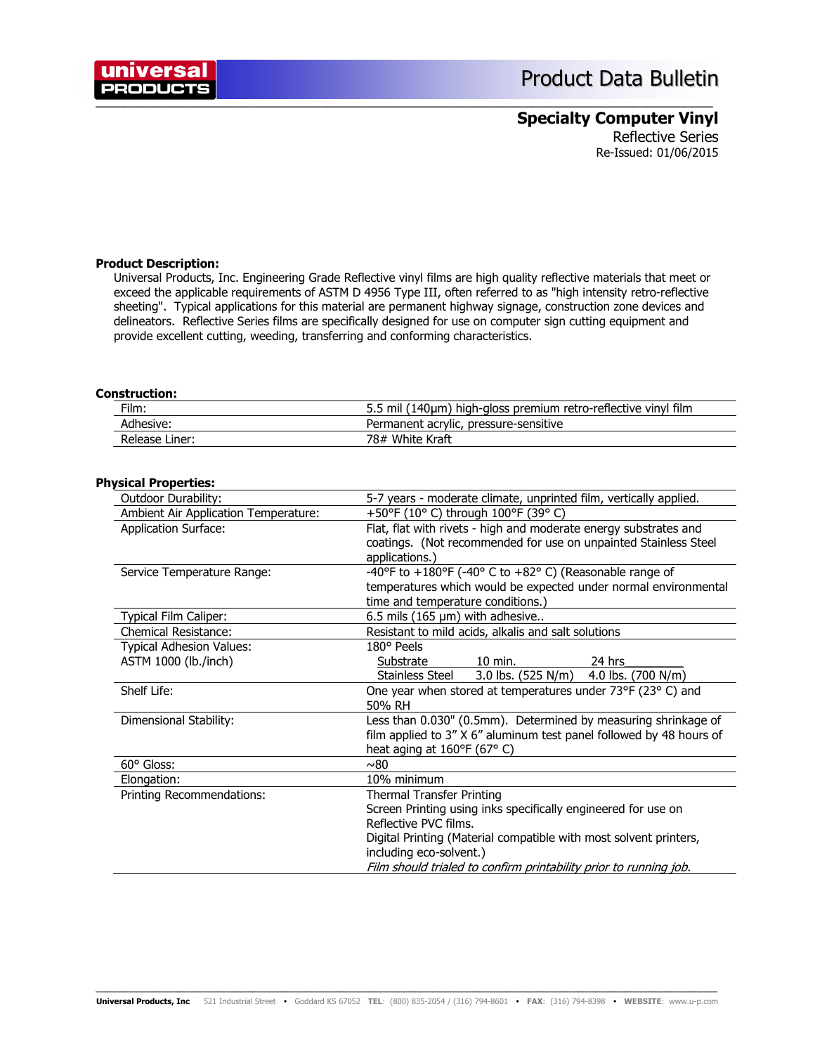# **Specialty Computer Vinyl**

Reflective Series Re-Issued: 01/06/2015

### **Product Description:**

universal **PRODUCTS** 

> Universal Products, Inc. Engineering Grade Reflective vinyl films are high quality reflective materials that meet or exceed the applicable requirements of ASTM D 4956 Type III, often referred to as "high intensity retro-reflective sheeting". Typical applications for this material are permanent highway signage, construction zone devices and delineators. Reflective Series films are specifically designed for use on computer sign cutting equipment and provide excellent cutting, weeding, transferring and conforming characteristics.

 $\bar{a}$  , and the contribution of the contribution of the contribution of the contribution of the contribution of  $\bar{a}$ 

#### **Construction:**

| Film:          | 5.5 mil (140µm) high-gloss premium retro-reflective vinyl film |
|----------------|----------------------------------------------------------------|
| Adhesive:      | Permanent acrylic, pressure-sensitive                          |
| Release Liner: | 78# White Kraft                                                |

### **Physical Properties:**

| Outdoor Durability:                  | 5-7 years - moderate climate, unprinted film, vertically applied.   |
|--------------------------------------|---------------------------------------------------------------------|
| Ambient Air Application Temperature: | +50°F (10° C) through 100°F (39° C)                                 |
| <b>Application Surface:</b>          | Flat, flat with rivets - high and moderate energy substrates and    |
|                                      | coatings. (Not recommended for use on unpainted Stainless Steel     |
|                                      | applications.)                                                      |
| Service Temperature Range:           | -40°F to +180°F (-40° C to +82° C) (Reasonable range of             |
|                                      | temperatures which would be expected under normal environmental     |
|                                      | time and temperature conditions.)                                   |
| Typical Film Caliper:                | 6.5 mils (165 $\mu$ m) with adhesive                                |
| <b>Chemical Resistance:</b>          | Resistant to mild acids, alkalis and salt solutions                 |
| <b>Typical Adhesion Values:</b>      | 180° Peels                                                          |
| ASTM 1000 (lb./inch)                 | Substrate<br>$10$ min.<br>24 hrs                                    |
|                                      | $3.0$ lbs. (525 N/m)<br>Stainless Steel<br>4.0 lbs. $(700 N/m)$     |
| Shelf Life:                          | One year when stored at temperatures under 73°F (23°C) and          |
|                                      | 50% RH                                                              |
| Dimensional Stability:               | Less than 0.030" (0.5mm). Determined by measuring shrinkage of      |
|                                      | film applied to 3" X 6" aluminum test panel followed by 48 hours of |
|                                      | heat aging at $160^{\circ}F(67^{\circ}C)$                           |
| 60° Gloss:                           | ~0.80                                                               |
| Elongation:                          | 10% minimum                                                         |
| Printing Recommendations:            | <b>Thermal Transfer Printing</b>                                    |
|                                      | Screen Printing using inks specifically engineered for use on       |
|                                      | Reflective PVC films.                                               |
|                                      | Digital Printing (Material compatible with most solvent printers,   |
|                                      | including eco-solvent.)                                             |
|                                      | Film should trialed to confirm printability prior to running job.   |